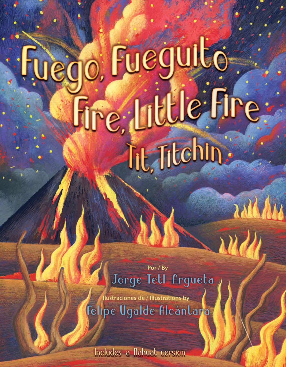## ego, Fueguito Fire Little Fire Tit, Titchin:

Por / By Jorge Tett Argueta

Ilustraciones de / Illustrations by Felipe Ugalde Alcántara

Includes a nahuat version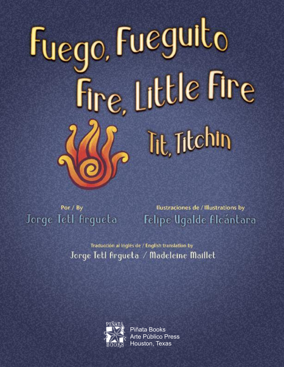## Fuego, Fueguito Fire, Little Fire Tit, Titchin

Por / By Jorge Tell Argueta

Ilustraciones de / Illustrations by Felipe Ugalde Alcántara

Traducción al Inglés de / English translation by Jorge Tetl Argueta / Madeleine Maillet



Piñata Books Arte Público Press Houston, Texas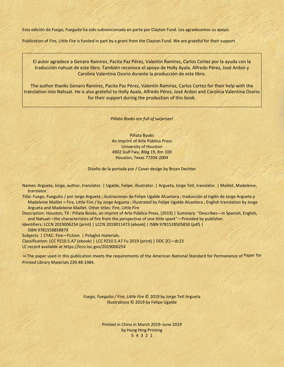Esta edición de *Fuego, Fueguito* ha sido subvencionada en parte por Clayton Fund. Les agradecemos su apoyo.

Publication of *Fire, Little Fire* is funded in part by a grant from the Clayton Fund. We are grateful for their support.

El autor agradece a Genaro Ramírez, Pacita Paz Pérez, Valentín Ramírez, Carlos Cortez por la ayuda con la traducción nahuat de este libro. También reconoce el apoyo de Holly Ayala, Alfredo Pérez, José Ardon y Carolina Valentina Osorio durante la producción de este libro.

The author thanks Genaro Ramírez, Pacita Paz Pérez, Valentín Ramírez, Carlos Cortez for their help with the translation into Nahuat. He is also grateful to Holly Ayala, Alfredo Pérez, José Ardon and Carolina Valentina Osorio for their support during the production of this book.

*Piñata Books are full of surprises!*

Piñata Books An Imprint of Arte Público Press University of Houston 4902 Gulf Fwy, Bldg 19, Rm 100 Houston, Texas 77204-2004

Diseño de la portada por / Cover design by Bryan Dechter

Names: Argueta, Jorge, author, translator. | Ugalde, Felipe, illustrator. | Argueta, Jorge Tetl, translator. | Maillet, Madeleine, translator.

Title: Fuego, Fueguito / por Jorge Argueta ; ilustraciones de Felipe Ugalde Alcantara ; traducción al inglés de Jorge Argueta y Madeleine Maillet = Fire, Little Fire / by Jorge Argueta ; illustrated by Felipe Ugalde Alcantara ; English translation by Jorge Argueta and Madeleine Maillet. Other titles: Fire, Little Fire

Description: Houston, TX : Piñata Books, an imprint of Arte Público Press, [2019] | Summary: "Describes—in Spanish, English, and Nahuat—the characteristics of fire from the perspective of one little spark"—Provided by publisher.

Identifiers: LCCN 2019006254 (print) | LCCN 2019011473 (ebook) | ISBN 9781518505850 (pdf) | ISBN 9781558858879

Subjects: | CYAC: Fire—Fiction. | Polyglot materials.

Classification: LCC PZ10.5.A7 (ebook) | LCC PZ10.5.A7 Fu 2019 (print) | DDC [E]—dc23

LC record available at https://lccn.loc.gov/2019006254

The paper used in this publication meets the requirements of the American National Standard for Permanence of Paper for Printed Library Materials Z39.48-1984.

> *Fuego, Fueguito / Fire, Little Fire* © 2019 by Jorge Tetl Argueta Illustrations © 2019 by Felipe Ugalde

> > Printed in China in March 2019–June 2019 by Hung Hing Printing 5 4 3 2 1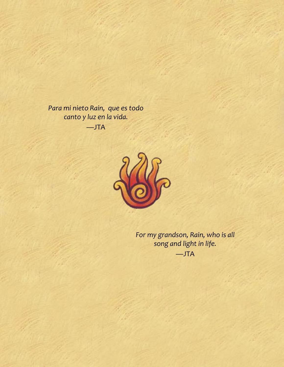*Para mi nieto Rain, que es todo canto y luz en la vida.* —JTA



*For my grandson, Rain, who is all song and light in life.* —JTA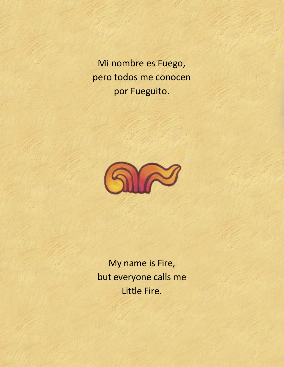Mi nombre es Fuego, pero todos me conocen por Fueguito.



My name is Fire, but everyone calls me Little Fire.